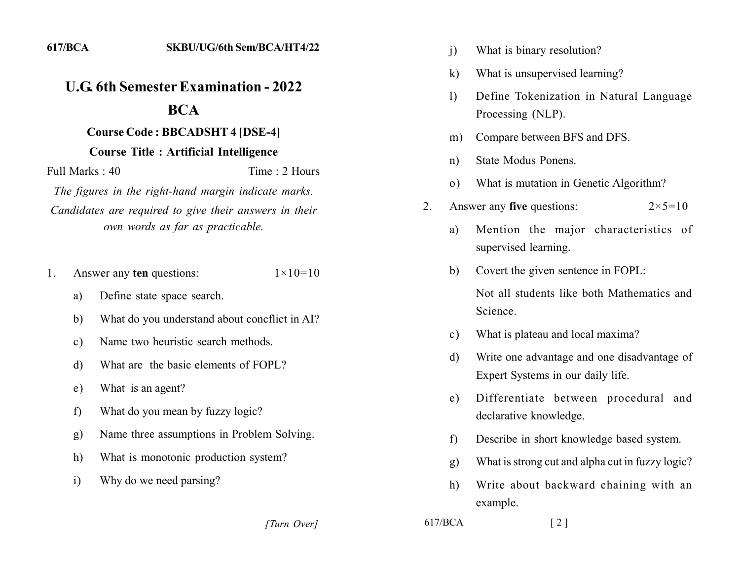## *<u>U.G. 6th Semester Examination - 2022</u>* **222**

## **22** Course Code : BBCADSHT 4 [DSE-4]

## **22 Course Title : Artificial Intelligence**

Full Marks : 40 Time : 2 Hours

*The figures in the right-hand margin indicate marks.* Candidates are required to give their answers in their *own words as far as practicable.* 

- 1. Answer any **ten** questions:  $1 \times 10=10$ 
	- a) Define state space search.
	- b) What do you understand about concilict in AI?
	- c) Name two heuristic search methods.
	- d) What are the basic elements of FOPL?
	- e) What is an agent?
	- f) What do you mean by fuzzy logic?
	- g) Name three assumptions in Problem Solving.
	- h) What is monotonic production system?
	- i) Why do we need parsing?

- i) What is binary resolution?
- k) What is unsupervised learning?
- 1) Define Tokenization in Natural Language Processing (NLP).
- m) Compare between BFS and DFS.
- n) State Modus Ponens.
- o) What is mutation in Genetic Algorithm?
- 2. Answer any **five** questions:  $2 \times 5 = 10$ 
	- a) Mention the major characteristics of supervised learning.
	- b) Covert the given sentence in FOPL:

Not all students like both Mathematics and Science

- c) What is plateau and local maxima?
- d) Write one advantage and one disadvantage of Expert Systems in our daily life.
- e) Differentiate between procedural and declarative knowledge.
- f) Describe in short knowledge based system.
- g) What is strong cut and alpha cut in fuzzy logic?
- h) Write about backward chaining with an example.
- *[1] [2]* [2] **]**  $\qquad \qquad$   $\qquad$   $\qquad$   $\qquad$   $\qquad$   $\qquad$   $\qquad$   $\qquad$   $\qquad$   $\qquad$   $\qquad$   $\qquad$   $\qquad$   $\qquad$   $\qquad$   $\qquad$   $\qquad$   $\qquad$   $\qquad$   $\qquad$   $\qquad$   $\qquad$   $\qquad$   $\qquad$   $\qquad$   $\qquad$   $\qquad$   $\qquad$   $\qquad$   $\qquad$   $\qquad$   $\qquad$   $\qquad$